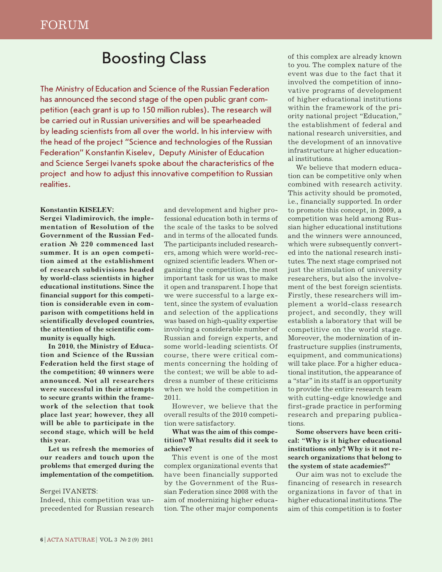# Boosting Class

The Ministry of Education and Science of the Russian Federation has announced the second stage of the open public grant competition (each grant is up to 150 million rubles). The research will be carried out in Russian universities and will be spearheaded by leading scientists from all over the world. In his interview with the head of the project "Science and technologies of the Russian Federation" Konstantin Kiselev, Deputy Minister of Education and Science Sergei Ivanets spoke about the characteristics of the project and how to adjust this innovative competition to Russian realities.

#### **Konstantin KISELEV:**

**Sergei Vladimirovich, the implementation of Resolution of the Government of the Russian Federation № 220 commenced last summer. It is an open competition aimed at the establishment of research subdivisions headed by world-class scientists in higher educational institutions. Since the financial support for this competition is considerable even in comparison with competitions held in scientifically developed countries, the attention of the scientific community is equally high.**

**In 2010, the Ministry of Education and Science of the Russian Federation held the first stage of the competition; 40 winners were announced. Not all researchers were successful in their attempts to secure grants within the framework of the selection that took place last year; however, they all will be able to participate in the second stage, which will be held this year.**

**Let us refresh the memories of our readers and touch upon the problems that emerged during the implementation of the competition.** 

#### Sergei IVANETS:

Indeed, this competition was unprecedented for Russian research and development and higher professional education both in terms of the scale of the tasks to be solved and in terms of the allocated funds. The participants included researchers, among which were world-recognized scientific leaders. When organizing the competition, the most important task for us was to make it open and transparent. I hope that we were successful to a large extent, since the system of evaluation and selection of the applications was based on high-quality expertise involving a considerable number of Russian and foreign experts, and some world-leading scientists. Of course, there were critical comments concerning the holding of the contest; we will be able to address a number of these criticisms when we hold the competition in 2011.

However, we believe that the overall results of the 2010 competition were satisfactory.

**What was the aim of this competition? What results did it seek to achieve?**

This event is one of the most complex organizational events that have been financially supported by the Government of the Russian Federation since 2008 with the aim of modernizing higher education. The other major components of this complex are already known to you. The complex nature of the event was due to the fact that it involved the competition of innovative programs of development of higher educational institutions within the framework of the priority national project "Education," the establishment of federal and national research universities, and the development of an innovative infrastructure at higher educational institutions.

We believe that modern education can be competitive only when combined with research activity. This activity should be promoted, i.e., financially supported. In order to promote this concept, in 2009, a competition was held among Russian higher educational institutions and the winners were announced, which were subsequently converted into the national research institutes. The next stage comprised not just the stimulation of university researchers, but also the involvement of the best foreign scientists. Firstly, these researchers will implement a world-class research project, and secondly, they will establish a laboratory that will be competitive on the world stage. Moreover, the modernization of infrastructure supplies (instruments, equipment, and communications) will take place. For a higher educational institution, the appearance of a "star" in its staff is an opportunity to provide the entire research team with cutting-edge knowledge and first-grade practice in performing research and preparing publications.

**Some observers have been critical: "Why is it higher educational institutions only? Why is it not research organizations that belong to the system of state academies?"**

Our aim was not to exclude the financing of research in research organizations in favor of that in higher educational institutions. The aim of this competition is to foster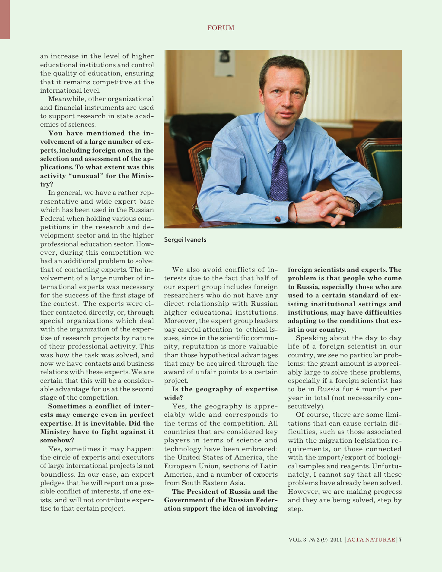an increase in the level of higher educational institutions and control the quality of education, ensuring that it remains competitive at the international level.

Meanwhile, other organizational and financial instruments are used to support research in state academies of sciences.

**You have mentioned the involvement of a large number of experts, including foreign ones, in the selection and assessment of the applications. To what extent was this activity "unusual" for the Ministry?**

In general, we have a rather representative and wide expert base which has been used in the Russian Federal when holding various competitions in the research and development sector and in the higher professional education sector. However, during this competition we had an additional problem to solve: that of contacting experts. The involvement of a large number of international experts was necessary for the success of the first stage of the contest. The experts were either contacted directly, or, through special organizations which deal with the organization of the expertise of research projects by nature of their professional activity. This was how the task was solved, and now we have contacts and business relations with these experts. We are certain that this will be a considerable advantage for us at the second stage of the competition.

## **Sometimes a conflict of interests may emerge even in perfect expertise. It is inevitable. Did the Ministry have to fight against it somehow?**

Yes, sometimes it may happen: the circle of experts and executors of large international projects is not boundless. In our case, an expert pledges that he will report on a possible conflict of interests, if one exists, and will not contribute expertise to that certain project.



Sergei Ivanets

We also avoid conflicts of interests due to the fact that half of our expert group includes foreign researchers who do not have any direct relationship with Russian higher educational institutions. Moreover, the expert group leaders pay careful attention to ethical issues, since in the scientific community, reputation is more valuable than those hypothetical advantages that may be acquired through the award of unfair points to a certain project.

## **Is the geography of expertise wide?**

Yes, the geography is appreciably wide and corresponds to the terms of the competition. All countries that are considered key players in terms of science and technology have been embraced: the United States of America, the European Union, sections of Latin America, and a number of experts from South Eastern Asia.

**The President of Russia and the Government of the Russian Federation support the idea of involving**  **foreign scientists and experts. The problem is that people who come to Russia, especially those who are used to a certain standard of existing institutional settings and institutions, may have difficulties adapting to the conditions that exist in our country.**

Speaking about the day to day life of a foreign scientist in our country, we see no particular problems: the grant amount is appreciably large to solve these problems, especially if a foreign scientist has to be in Russia for 4 months per year in total (not necessarily consecutively).

Of course, there are some limitations that can cause certain difficulties, such as those associated with the migration legislation requirements, or those connected with the import/export of biological samples and reagents. Unfortunately, I cannot say that all these problems have already been solved. However, we are making progress and they are being solved, step by step.